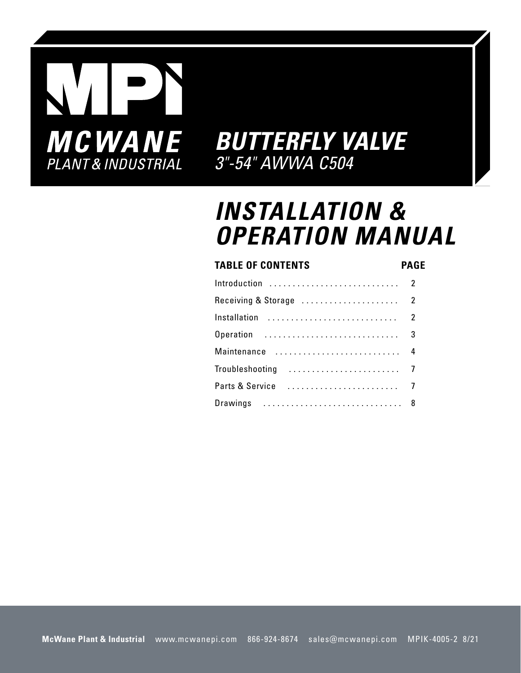

### **INSTALLATION & OPERATION MANUAL**

#### **TABLE OF CONTENTS**

**PAGE**

| Introduction       | $\overline{2}$ |
|--------------------|----------------|
|                    |                |
| Installation       | $\overline{2}$ |
| Operation  3       |                |
| Maintenance  4     |                |
| Troubleshooting  7 |                |
|                    |                |
| Drawings  8        |                |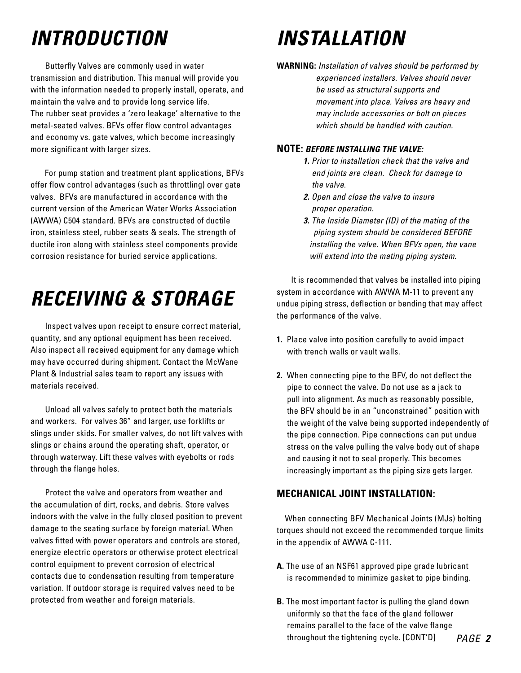### **INTRODUCTION**

 Butterfly Valves are commonly used in water transmission and distribution. This manual will provide you with the information needed to properly install, operate, and maintain the valve and to provide long service life. The rubber seat provides a 'zero leakage' alternative to the metal-seated valves. BFVs offer flow control advantages and economy vs. gate valves, which become increasingly more significant with larger sizes.

 For pump station and treatment plant applications, BFVs offer flow control advantages (such as throttling) over gate valves. BFVs are manufactured in accordance with the current version of the American Water Works Association (AWWA) C504 standard. BFVs are constructed of ductile iron, stainless steel, rubber seats & seals. The strength of ductile iron along with stainless steel components provide corrosion resistance for buried service applications.

### **RECEIVING & STORAGE**

 Inspect valves upon receipt to ensure correct material, quantity, and any optional equipment has been received. Also inspect all received equipment for any damage which may have occurred during shipment. Contact the McWane Plant & Industrial sales team to report any issues with materials received.

 Unload all valves safely to protect both the materials and workers. For valves 36" and larger, use forklifts or slings under skids. For smaller valves, do not lift valves with slings or chains around the operating shaft, operator, or through waterway. Lift these valves with eyebolts or rods through the flange holes.

 Protect the valve and operators from weather and the accumulation of dirt, rocks, and debris. Store valves indoors with the valve in the fully closed position to prevent damage to the seating surface by foreign material. When valves fitted with power operators and controls are stored, energize electric operators or otherwise protect electrical control equipment to prevent corrosion of electrical contacts due to condensation resulting from temperature variation. If outdoor storage is required valves need to be protected from weather and foreign materials.

### **INSTALLATION**

**WARNING:** Installation of valves should be performed by experienced installers. Valves should never be used as structural supports and movement into place. Valves are heavy and may include accessories or bolt on pieces which should be handled with caution.

#### **NOTE: BEFORE INSTALLING THE VALVE:**

- **1.** Prior to installation check that the valve and end joints are clean. Check for damage to the valve.
- **2.** Open and close the valve to insure proper operation.
- **3.** The Inside Diameter (ID) of the mating of the piping system should be considered BEFORE installing the valve. When BFVs open, the vane will extend into the mating piping system.

 It is recommended that valves be installed into piping system in accordance with AWWA M-11 to prevent any undue piping stress, deflection or bending that may affect the performance of the valve.

- **1.** Place valve into position carefully to avoid impact with trench walls or vault walls.
- **2.** When connecting pipe to the BFV, do not deflect the pipe to connect the valve. Do not use as a jack to pull into alignment. As much as reasonably possible, the BFV should be in an "unconstrained" position with the weight of the valve being supported independently of the pipe connection. Pipe connections can put undue stress on the valve pulling the valve body out of shape and causing it not to seal properly. This becomes increasingly important as the piping size gets larger.

#### **MECHANICAL JOINT INSTALLATION:**

When connecting BFV Mechanical Joints (MJs) bolting torques should not exceed the recommended torque limits in the appendix of AWWA C-111.

- **A.** The use of an NSF61 approved pipe grade lubricant is recommended to minimize gasket to pipe binding.
- **B.** The most important factor is pulling the gland down uniformly so that the face of the gland follower remains parallel to the face of the valve flange throughout the tightening cycle. [CONT'D]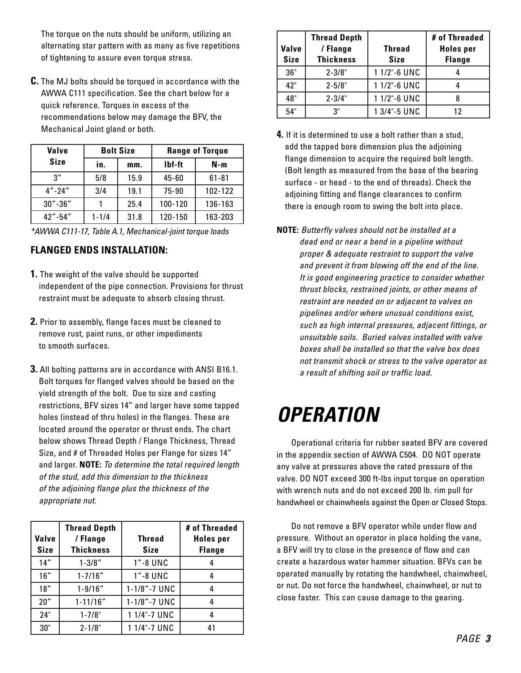The torque on the nuts should be uniform, utilizing an alternating star pattern with as many as five repetitions of tightening to assure even torque stress.

**C.** The MJ bolts should be torqued in accordance with the AWWA C111 specification. See the chart below for a quick reference. Torques in excess of the recommendations below may damage the BFV, the Mechanical Joint gland or both.

| <b>Valve</b>  |           | <b>Bolt Size</b> | <b>Range of Torque</b> |           |  |  |
|---------------|-----------|------------------|------------------------|-----------|--|--|
| <b>Size</b>   | in.       | mm.              | Ibf-ft                 | N-m       |  |  |
| 3''           | 5/8       | 15.9             | $45 - 60$              | $61 - 81$ |  |  |
| $4'' - 24''$  | 3/4       | 19.1             | 75-90                  | 102-122   |  |  |
| $30'' - 36''$ |           | 25.4             | 100-120                | 136-163   |  |  |
| $42" - 54"$   | $1 - 1/4$ | 31.8             | 120-150                | 163-203   |  |  |

\*AWWA C111-17, Table A.1, Mechanical-joint torque loads

#### **FLANGED ENDS INSTALLATION:**

- **1.** The weight of the valve should be supported independent of the pipe connection. Provisions for thrust restraint must be adequate to absorb closing thrust.
- **2.** Prior to assembly, flange faces must be cleaned to remove rust, paint runs, or other impediments to smooth surfaces.
- **3.** All bolting patterns are in accordance with ANSI B16.1. Bolt torques for flanged valves should be based on the yield strength of the bolt. Due to size and casting restrictions, BFV sizes 14" and larger have some tapped holes (instead of thru holes) in the flanges. These are located around the operator or thrust ends. The chart below shows Thread Depth / Flange Thickness, Thread Size, and # of Threaded Holes per Flange for sizes 14" and larger. **NOTE:** To determine the total required length of the stud, add this dimension to the thickness of the adjoining flange plus the thickness of the appropriate nut.

| Valve<br><b>Size</b> | <b>Thread Depth</b><br>/ Flange<br><b>Thickness</b> | <b>Thread</b><br><b>Size</b> | # of Threaded<br><b>Holes</b> per<br><b>Flange</b> |
|----------------------|-----------------------------------------------------|------------------------------|----------------------------------------------------|
| 14"                  | $1 - 3/8"$                                          | 1"-8 UNC                     |                                                    |
| 16"                  | $1 - 7/16"$                                         | 1"-8 UNC                     |                                                    |
| 18"                  | $1 - 9/16"$                                         | 1-1/8"-7 UNC                 |                                                    |
| 20"                  | $1 - 11/16"$                                        | 1-1/8"-7 UNC                 |                                                    |
| 24"                  | $1 - 7/8"$                                          | 1 1/4"-7 UNC                 |                                                    |
| 30"                  | $2 - 1/8"$                                          | 1 1/4"-7 UNC                 | 41                                                 |

| Valve<br><b>Size</b> | <b>Thread Depth</b><br>/ Flange<br><b>Thickness</b> | <b>Thread</b><br><b>Size</b> | # of Threaded<br><b>Holes</b> per<br><b>Flange</b> |
|----------------------|-----------------------------------------------------|------------------------------|----------------------------------------------------|
| 36"                  | $2 - 3/8"$                                          | 1 1/2"-6 UNC                 |                                                    |
| 42"                  | $2 - 5/8"$                                          | 1 1/2"-6 UNC                 |                                                    |
| 48"                  | $2 - 3/4"$                                          | 1 1/2"-6 UNC                 |                                                    |
| 54"                  | 3"                                                  | 1 3/4"-5 UNC                 | 12                                                 |

- **4.** If it is determined to use a bolt rather than a stud, add the tapped bore dimension plus the adjoining flange dimension to acquire the required bolt length. (Bolt length as measured from the base of the bearing surface - or head - to the end of threads). Check the adjoining fitting and flange clearances to confirm there is enough room to swing the bolt into place.
- **NOTE:** Butterfly valves should not be installed at a dead end or near a bend in a pipeline without proper & adequate restraint to support the valve and prevent it from blowing off the end of the line. It is good engineering practice to consider whether thrust blocks, restrained joints, or other means of restraint are needed on or adjacent to valves on pipelines and/or where unusual conditions exist, such as high internal pressures, adjacent fittings, or unsuitable soils. Buried valves installed with valve boxes shall be installed so that the valve box does not transmit shock or stress to the valve operator as a result of shifting soil or traffic load.

### **OPERATION**

 Operational criteria for rubber seated BFV are covered in the appendix section of AWWA C504. DO NOT operate any valve at pressures above the rated pressure of the valve. DO NOT exceed 300 ft-lbs input torque on operation with wrench nuts and do not exceed 200 lb. rim pull for handwheel or chainwheels against the Open or Closed Stops.

 Do not remove a BFV operator while under flow and pressure. Without an operator in place holding the vane, a BFV will try to close in the presence of flow and can create a hazardous water hammer situation. BFVs can be operated manually by rotating the handwheel, chainwheel, or nut. Do not force the handwheel, chainwheel, or nut to close faster. This can cause damage to the gearing.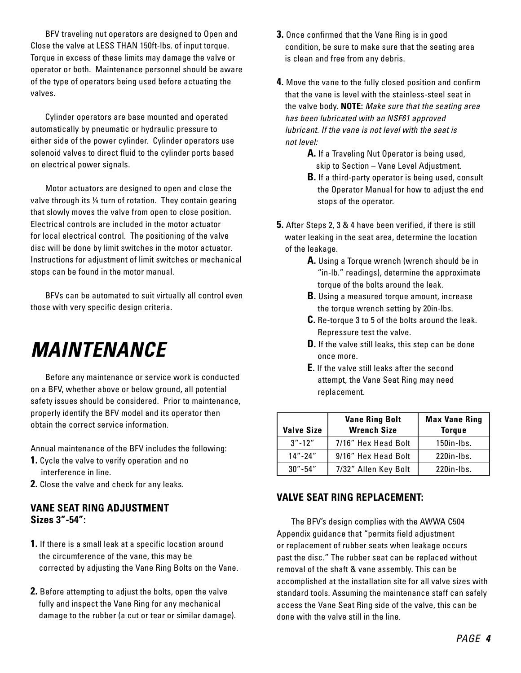BFV traveling nut operators are designed to Open and Close the valve at LESS THAN 150ft-lbs. of input torque. Torque in excess of these limits may damage the valve or operator or both. Maintenance personnel should be aware of the type of operators being used before actuating the valves.

 Cylinder operators are base mounted and operated automatically by pneumatic or hydraulic pressure to either side of the power cylinder. Cylinder operators use solenoid valves to direct fluid to the cylinder ports based on electrical power signals.

 Motor actuators are designed to open and close the valve through its ¼ turn of rotation. They contain gearing that slowly moves the valve from open to close position. Electrical controls are included in the motor actuator for local electrical control. The positioning of the valve disc will be done by limit switches in the motor actuator. Instructions for adjustment of limit switches or mechanical stops can be found in the motor manual.

 BFVs can be automated to suit virtually all control even those with very specific design criteria.

### **MAINTENANCE**

 Before any maintenance or service work is conducted on a BFV, whether above or below ground, all potential safety issues should be considered. Prior to maintenance, properly identify the BFV model and its operator then obtain the correct service information.

Annual maintenance of the BFV includes the following:

- **1.** Cycle the valve to verify operation and no interference in line.
- **2.** Close the valve and check for any leaks.

#### **VANE SEAT RING ADJUSTMENT Sizes 3"-54":**

- **1.** If there is a small leak at a specific location around the circumference of the vane, this may be corrected by adjusting the Vane Ring Bolts on the Vane.
- **2.** Before attempting to adjust the bolts, open the valve fully and inspect the Vane Ring for any mechanical damage to the rubber (a cut or tear or similar damage).
- **3.** Once confirmed that the Vane Ring is in good condition, be sure to make sure that the seating area is clean and free from any debris.
- **4.** Move the vane to the fully closed position and confirm that the vane is level with the stainless-steel seat in the valve body. **NOTE:** Make sure that the seating area has been lubricated with an NSF61 approved lubricant. If the vane is not level with the seat is not level:
	- **A.** If a Traveling Nut Operator is being used, skip to Section – Vane Level Adjustment.
	- **B.** If a third-party operator is being used, consult the Operator Manual for how to adjust the end stops of the operator.
- **5.** After Steps 2, 3 & 4 have been verified, if there is still water leaking in the seat area, determine the location of the leakage.
	- **A.** Using a Torque wrench (wrench should be in "in-lb." readings), determine the approximate torque of the bolts around the leak.
	- **B.** Using a measured torque amount, increase the torque wrench setting by 20in-lbs.
	- **C.** Re-torque 3 to 5 of the bolts around the leak. Repressure test the valve.
	- **D.** If the valve still leaks, this step can be done once more.
	- **E.** If the valve still leaks after the second attempt, the Vane Seat Ring may need replacement.

| <b>Valve Size</b> | <b>Vane Ring Bolt</b><br><b>Wrench Size</b> | <b>Max Vane Ring</b><br><b>Torque</b> |
|-------------------|---------------------------------------------|---------------------------------------|
| $3'' - 12''$      | 7/16" Hex Head Bolt                         | $150$ in-Ibs.                         |
| $14" - 24"$       | 9/16" Hex Head Bolt                         | $220$ in-Ibs.                         |
| $30" - 54"$       | 7/32" Allen Key Bolt                        | $220$ in-Ibs.                         |

#### **VALVE SEAT RING REPLACEMENT:**

 The BFV's design complies with the AWWA C504 Appendix guidance that "permits field adjustment or replacement of rubber seats when leakage occurs past the disc." The rubber seat can be replaced without removal of the shaft & vane assembly. This can be accomplished at the installation site for all valve sizes with standard tools. Assuming the maintenance staff can safely access the Vane Seat Ring side of the valve, this can be done with the valve still in the line.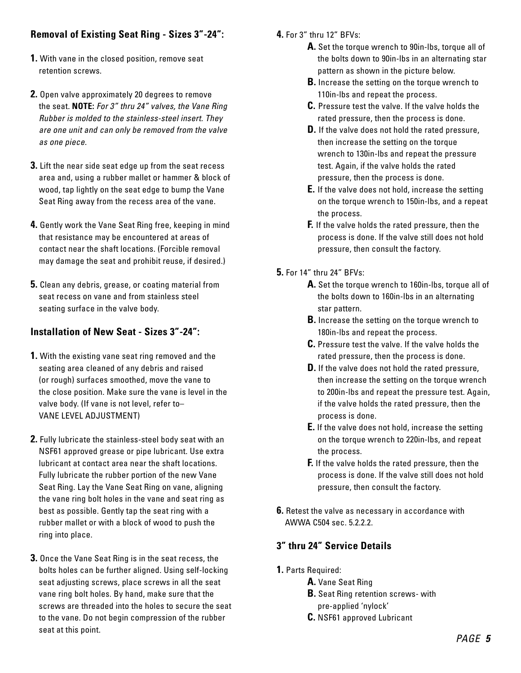### **Removal of Existing Seat Ring - Sizes 3"-24":**

- **1.** With vane in the closed position, remove seat retention screws.
- **2.** Open valve approximately 20 degrees to remove the seat. **NOTE:** For 3" thru 24" valves, the Vane Ring Rubber is molded to the stainless-steel insert. They are one unit and can only be removed from the valve as one piece.
- **3.** Lift the near side seat edge up from the seat recess area and, using a rubber mallet or hammer & block of wood, tap lightly on the seat edge to bump the Vane Seat Ring away from the recess area of the vane.
- **4.** Gently work the Vane Seat Ring free, keeping in mind that resistance may be encountered at areas of contact near the shaft locations. (Forcible removal may damage the seat and prohibit reuse, if desired.)
- **5.** Clean any debris, grease, or coating material from seat recess on vane and from stainless steel seating surface in the valve body.

#### **Installation of New Seat - Sizes 3"-24":**

- **1.** With the existing vane seat ring removed and the seating area cleaned of any debris and raised (or rough) surfaces smoothed, move the vane to the close position. Make sure the vane is level in the valve body. (If vane is not level, refer to– VANE LEVEL ADJUSTMENT)
- **2.** Fully lubricate the stainless-steel body seat with an NSF61 approved grease or pipe lubricant. Use extra lubricant at contact area near the shaft locations. Fully lubricate the rubber portion of the new Vane Seat Ring. Lay the Vane Seat Ring on vane, aligning the vane ring bolt holes in the vane and seat ring as best as possible. Gently tap the seat ring with a rubber mallet or with a block of wood to push the ring into place.
- **3.** Once the Vane Seat Ring is in the seat recess, the bolts holes can be further aligned. Using self-locking seat adjusting screws, place screws in all the seat vane ring bolt holes. By hand, make sure that the screws are threaded into the holes to secure the seat to the vane. Do not begin compression of the rubber seat at this point.
- **4.** For 3" thru 12" BFVs:
	- **A.** Set the torque wrench to 90in-lbs, torque all of the bolts down to 90in-lbs in an alternating star pattern as shown in the picture below.
	- **B.** Increase the setting on the torque wrench to 110in-lbs and repeat the process.
	- **C.** Pressure test the valve. If the valve holds the rated pressure, then the process is done.
	- **D.** If the valve does not hold the rated pressure, then increase the setting on the torque wrench to 130in-lbs and repeat the pressure test. Again, if the valve holds the rated pressure, then the process is done.
	- **E.** If the valve does not hold, increase the setting on the torque wrench to 150in-lbs, and a repeat the process.
	- **F.** If the valve holds the rated pressure, then the process is done. If the valve still does not hold pressure, then consult the factory.
- **5.** For 14" thru 24" BFVs:
	- **A.** Set the torque wrench to 160in-lbs, torque all of the bolts down to 160in-lbs in an alternating star pattern.
	- **B.** Increase the setting on the torque wrench to 180in-lbs and repeat the process.
	- **C.** Pressure test the valve. If the valve holds the rated pressure, then the process is done.
	- **D.** If the valve does not hold the rated pressure, then increase the setting on the torque wrench to 200in-lbs and repeat the pressure test. Again, if the valve holds the rated pressure, then the process is done.
	- **E.** If the valve does not hold, increase the setting on the torque wrench to 220in-lbs, and repeat the process.
	- **F.** If the valve holds the rated pressure, then the process is done. If the valve still does not hold pressure, then consult the factory.
- **6.** Retest the valve as necessary in accordance with AWWA C504 sec. 5.2.2.2.

### **3" thru 24" Service Details**

- **1.** Parts Required:
	- **A.** Vane Seat Ring
	- **B.** Seat Ring retention screws- with
	- pre-applied 'nylock'
	- **C.** NSF61 approved Lubricant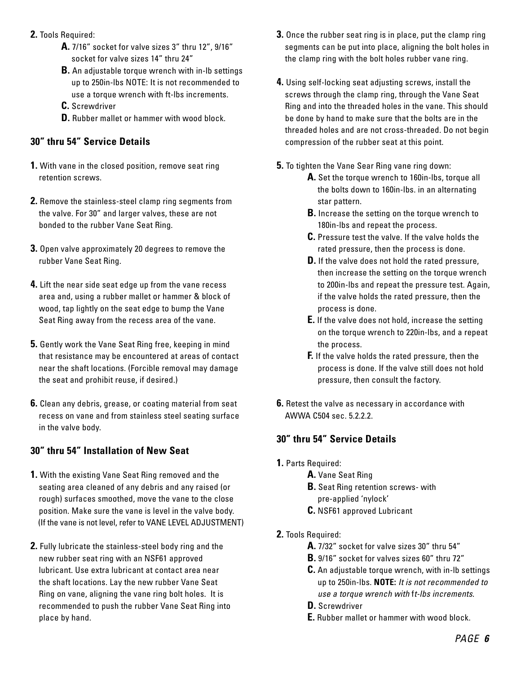- **2.** Tools Required:
	- **A.** 7/16" socket for valve sizes 3" thru 12", 9/16" socket for valve sizes 14" thru 24"
	- **B.** An adjustable torque wrench with in-lb settings up to 250in-lbs NOTE: It is not recommended to use a torque wrench with ft-lbs increments.
	- **C.** Screwdriver
	- **D.** Rubber mallet or hammer with wood block.

#### **30" thru 54" Service Details**

- **1.** With vane in the closed position, remove seat ring retention screws.
- **2.** Remove the stainless-steel clamp ring segments from the valve. For 30" and larger valves, these are not bonded to the rubber Vane Seat Ring.
- **3.** Open valve approximately 20 degrees to remove the rubber Vane Seat Ring.
- **4.** Lift the near side seat edge up from the vane recess area and, using a rubber mallet or hammer & block of wood, tap lightly on the seat edge to bump the Vane Seat Ring away from the recess area of the vane.
- **5.** Gently work the Vane Seat Ring free, keeping in mind that resistance may be encountered at areas of contact near the shaft locations. (Forcible removal may damage the seat and prohibit reuse, if desired.)
- **6.** Clean any debris, grease, or coating material from seat recess on vane and from stainless steel seating surface in the valve body.

### **30" thru 54" Installation of New Seat**

- **1.** With the existing Vane Seat Ring removed and the seating area cleaned of any debris and any raised (or rough) surfaces smoothed, move the vane to the close position. Make sure the vane is level in the valve body. (If the vane is not level, refer to VANE LEVEL ADJUSTMENT)
- **2.** Fully lubricate the stainless-steel body ring and the new rubber seat ring with an NSF61 approved lubricant. Use extra lubricant at contact area near the shaft locations. Lay the new rubber Vane Seat Ring on vane, aligning the vane ring bolt holes. It is recommended to push the rubber Vane Seat Ring into place by hand.
- **3.** Once the rubber seat ring is in place, put the clamp ring segments can be put into place, aligning the bolt holes in the clamp ring with the bolt holes rubber vane ring.
- **4.** Using self-locking seat adjusting screws, install the screws through the clamp ring, through the Vane Seat Ring and into the threaded holes in the vane. This should be done by hand to make sure that the bolts are in the threaded holes and are not cross-threaded. Do not begin compression of the rubber seat at this point.
- **5.** To tighten the Vane Sear Ring vane ring down:
	- **A.** Set the torque wrench to 160in-lbs, torque all the bolts down to 160in-lbs. in an alternating star pattern.
	- **B.** Increase the setting on the torque wrench to 180in-lbs and repeat the process.
	- **C.** Pressure test the valve. If the valve holds the rated pressure, then the process is done.
	- **D.** If the valve does not hold the rated pressure, then increase the setting on the torque wrench to 200in-lbs and repeat the pressure test. Again, if the valve holds the rated pressure, then the process is done.
	- **E.** If the valve does not hold, increase the setting on the torque wrench to 220in-lbs, and a repeat the process.
	- **F.** If the valve holds the rated pressure, then the process is done. If the valve still does not hold pressure, then consult the factory.
- **6.** Retest the valve as necessary in accordance with AWWA C504 sec. 5.2.2.2.

### **30" thru 54" Service Details**

- **1.** Parts Required:
	- **A.** Vane Seat Ring
	- **B.** Seat Ring retention screws- with
		- pre-applied 'nylock'
	- **C.** NSF61 approved Lubricant
- **2.** Tools Required:
	- **A.** 7/32" socket for valve sizes 30" thru 54"
	- **B.** 9/16" socket for valves sizes 60" thru 72"
	- **C.** An adjustable torque wrench, with in-lb settings up to 250in-lbs. **NOTE:** It is not recommended to use a torque wrench with ft-lbs increments.
	- **D.** Screwdriver
	- **E.** Rubber mallet or hammer with wood block.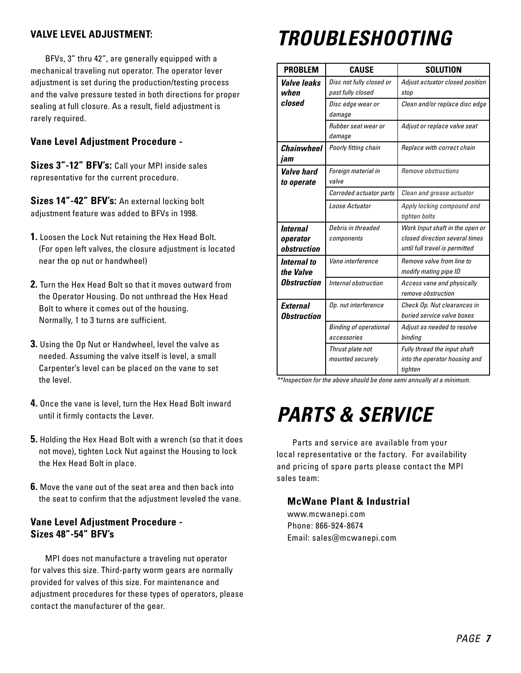#### **VALVE LEVEL ADJUSTMENT:**

 BFVs, 3" thru 42", are generally equipped with a mechanical traveling nut operator. The operator lever adjustment is set during the production/testing process and the valve pressure tested in both directions for proper sealing at full closure. As a result, field adjustment is rarely required.

#### **Vane Level Adjustment Procedure -**

**Sizes 3"-12" BFV's:** Call your MPI inside sales representative for the current procedure.

**Sizes 14"-42" BFV's:** An external locking bolt adjustment feature was added to BFVs in 1998.

- **1.** Loosen the Lock Nut retaining the Hex Head Bolt. (For open left valves, the closure adjustment is located near the op nut or handwheel)
- **2.** Turn the Hex Head Bolt so that it moves outward from the Operator Housing. Do not unthread the Hex Head Bolt to where it comes out of the housing. Normally, 1 to 3 turns are sufficient.
- **3.** Using the Op Nut or Handwheel, level the valve as needed. Assuming the valve itself is level, a small Carpenter's level can be placed on the vane to set the level.
- **4.** Once the vane is level, turn the Hex Head Bolt inward until it firmly contacts the Lever.
- **5.** Holding the Hex Head Bolt with a wrench (so that it does not move), tighten Lock Nut against the Housing to lock the Hex Head Bolt in place.
- **6.** Move the vane out of the seat area and then back into the seat to confirm that the adjustment leveled the vane.

#### **Vane Level Adjustment Procedure - Sizes 48"-54" BFV's**

 MPI does not manufacture a traveling nut operator for valves this size. Third-party worm gears are normally provided for valves of this size. For maintenance and adjustment procedures for these types of operators, please contact the manufacturer of the gear.

### **TROUBLESHOOTING**

| <b>PROBLEM</b>                               | <b>CAUSE</b>                                  | <b>SOLUTION</b>                                                                                     |
|----------------------------------------------|-----------------------------------------------|-----------------------------------------------------------------------------------------------------|
| Valve leaks<br>when                          | Disc not fully closed or<br>past fully closed | Adjust actuator closed position<br>stop                                                             |
| closed                                       | Disc edge wear or<br>damage                   | Clean and/or replace disc edge                                                                      |
|                                              | Rubber seat wear or<br>damage                 | Adjust or replace valve seat                                                                        |
| Chainwheel<br>jam                            | Poorly fitting chain                          | Replace with correct chain                                                                          |
| <i><b>Valve hard</b></i><br>to operate       | Foreign material in<br>valve                  | Remove obstructions                                                                                 |
|                                              | Corroded actuator parts                       | Clean and grease actuator                                                                           |
|                                              | Loose Actuator                                | Apply locking compound and<br>tighten bolts                                                         |
| Internal<br>operator<br>obstruction          | Debris in threaded<br>components              | Work Input shaft in the open or<br>closed direction several times<br>until full travel is permitted |
| Internal to<br>the Valve                     | Vane interference                             | Remove valve from line to<br>modify mating pipe ID                                                  |
| <i><b>Obstruction</b></i>                    | Internal obstruction                          | Access vane and physically<br>remove obstruction                                                    |
| <b>External</b><br><i><b>Obstruction</b></i> | Op. nut interference                          | Check Op. Nut clearances in<br>buried service valve boxes                                           |
|                                              | <b>Binding of operational</b><br>accessories  | Adjust as needed to resolve<br>binding                                                              |
|                                              | Thrust plate not<br>mounted securely          | Fully thread the input shaft<br>into the operator housing and<br>tighten                            |

\*\*Inspection for the above should be done semi annually at a minimum.

### **PARTS & SERVICE**

 Parts and service are available from your local representative or the factory. For availability and pricing of spare parts please contact the MPI sales team:

#### **McWane Plant & Industrial**

www.mcwanepi.com Phone: 866-924-8674 Email: sales@mcwanepi.com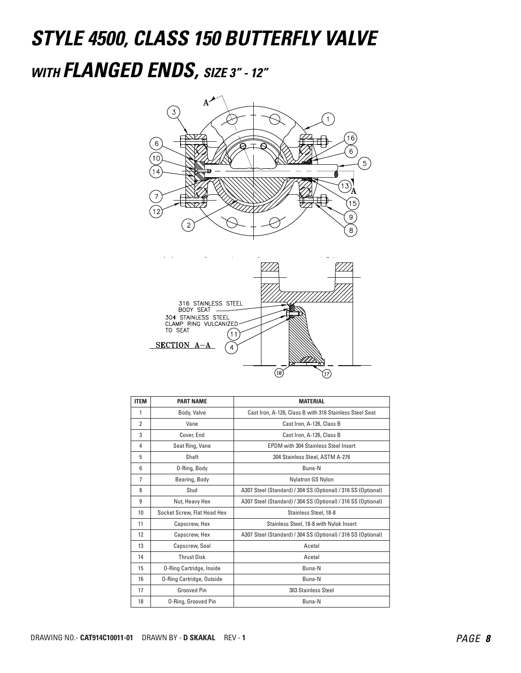### **STYLE 4500, CLASS 150 BUTTERFLY VALVE WITH FLANGED ENDS, SIZE 3" - 12"**





| <b>ITEM</b>    | <b>PART NAME</b>                 | <b>MATERIAL</b>                                               |
|----------------|----------------------------------|---------------------------------------------------------------|
| 1              | Body, Valve                      | Cast Iron, A-126, Class B with 316 Stainless Steel Seat       |
| $\overline{2}$ | Vane                             | Cast Iron, A-126, Class B                                     |
| 3              | Cover, End                       | Cast Iron, A-126, Class B                                     |
| 4              | Seat Ring, Vane                  | <b>EPDM</b> with 304 Stainless Steel Insert                   |
| 5              | Shaft                            | 304 Stainless Steel, ASTM A-276                               |
| 6              | 0-Ring, Body                     | Buna-N                                                        |
| 7              | Bearing, Body                    | Nylatron GS Nylon                                             |
| 8              | Stud                             | A307 Steel (Standard) / 304 SS (Optional) / 316 SS (Optional) |
| 9              | Nut, Heavy Hex                   | A307 Steel (Standard) / 304 SS (Optional) / 316 SS (Optional) |
| 10             | Socket Screw, Flat Head Hex      | Stainless Steel, 18-8                                         |
| 11             | Capscrew, Hex                    | Stainless Steel, 18-8 with Nylok Insert                       |
| 12             | Capscrew, Hex                    | A307 Steel (Standard) / 304 SS (Optional) / 316 SS (Optional) |
| 13             | Capscrew, Seal                   | Acetal                                                        |
| 14             | <b>Thrust Disk</b>               | Acetal                                                        |
| 15             | <b>O-Ring Cartridge, Inside</b>  | Buna-N                                                        |
| 16             | <b>O-Ring Cartridge, Outside</b> | Buna-N                                                        |
| 17             | <b>Grooved Pin</b>               | 303 Stainless Steel                                           |
| 18             | <b>O-Ring, Grooved Pin</b>       | Buna-N                                                        |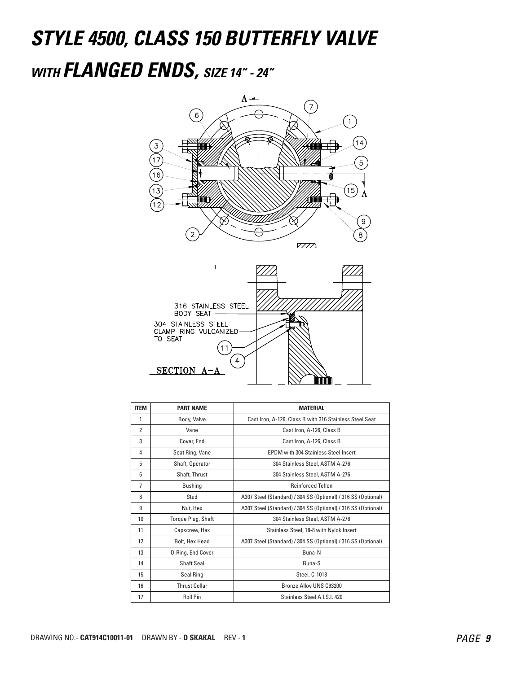## **STYLE 4500, CLASS 150 BUTTERFLY VALVE WITH FLANGED ENDS, SIZE 14" - 24"**





| <b>ITEM</b>    | <b>PART NAME</b>     | <b>MATERIAL</b>                                               |
|----------------|----------------------|---------------------------------------------------------------|
| 1              | Body, Valve          | Cast Iron, A-126, Class B with 316 Stainless Steel Seat       |
| $\overline{2}$ | Vane                 | Cast Iron, A-126, Class B                                     |
| 3              | Cover, End           | Cast Iron, A-126, Class B                                     |
| 4              | Seat Ring, Vane      | <b>EPDM</b> with 304 Stainless Steel Insert                   |
| 5              | Shaft, Operator      | 304 Stainless Steel, ASTM A-276                               |
| 6              | Shaft, Thrust        | 304 Stainless Steel, ASTM A-276                               |
| $\overline{1}$ | <b>Bushing</b>       | <b>Reinforced Teflon</b>                                      |
| 8              | Stud                 | A307 Steel (Standard) / 304 SS (Optional) / 316 SS (Optional) |
| 9              | Nut, Hex             | A307 Steel (Standard) / 304 SS (Optional) / 316 SS (Optional) |
| 10             | Torque Plug, Shaft   | 304 Stainless Steel, ASTM A-276                               |
| 11             | Capscrew, Hex        | Stainless Steel, 18-8 with Nylok Insert                       |
| 12             | Bolt, Hex Head       | A307 Steel (Standard) / 304 SS (Optional) / 316 SS (Optional) |
| 13             | O-Ring, End Cover    | Buna-N                                                        |
| 14             | Shaft Seal           | Buna-S                                                        |
| 15             | Seal Ring            | Steel, C-1018                                                 |
| 16             | <b>Thrust Collar</b> | Bronze Alloy UNS C93200                                       |
| 17             | <b>Roll Pin</b>      | Stainless Steel A.I.S.I. 420                                  |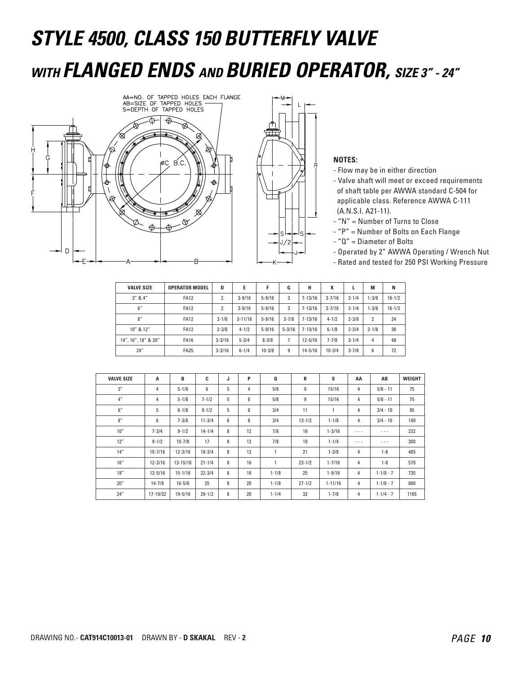# **STYLE 4500, CLASS 150 BUTTERFLY VALVE WITH FLANGED ENDS AND BURIED OPERATOR, SIZE 3" - 24"**





- Flow may be in either direction
- Valve shaft will meet or exceed requirements of shaft table per AWWA standard C-504 for applicable class. Reference AWWA C-111 (A.N.S.I. A21-11).
- "N" = Number of Turns to Close
- "P" = Number of Bolts on Each Flange
- "Q" = Diameter of Bolts
- Operated by 2" AWWA Operating / Wrench Nut
- Rated and tested for 250 PSI Working Pressure

| <b>VALVE SIZE</b>   | <b>OPERATOR MODEL</b> | D              | E           |            | G              | н           | К          |           | M              | N          |
|---------------------|-----------------------|----------------|-------------|------------|----------------|-------------|------------|-----------|----------------|------------|
| $3''$ & $4''$       | <b>FA12</b>           | $\overline{2}$ | $3 - 9/16$  | $5 - 9/16$ | 3              | $7 - 13/16$ | $3 - 7/16$ | $2 - 1/4$ | $1 - 3/8$      | $16 - 1/2$ |
| 6''                 | <b>FA12</b>           | $\overline{2}$ | $3 - 9/16$  | $5 - 9/16$ | 3              | $7 - 13/16$ | $3 - 7/16$ | $2 - 1/4$ | $1 - 3/8$      | $16 - 1/2$ |
| 8''                 | <b>FA12</b>           | $2 - 1/8$      | $3 - 11/16$ | $5 - 9/16$ | $3 - 7/8$      | $7 - 13/16$ | $4 - 1/2$  | $2 - 3/8$ | $\overline{2}$ | 24         |
| 10" & 12"           | <b>FA12</b>           | $2 - 3/8$      | $4 - 1/2$   | $5 - 9/16$ | $5 - 3/16$     | $7 - 13/16$ | $6 - 1/8$  | $2 - 3/4$ | $3 - 1/8$      | 36         |
| 14", 16", 18" & 20" | <b>FA16</b>           | $3 - 3/16$     | $5 - 3/4$   | $8 - 3/8$  | $\overline{7}$ | $12 - 5/16$ | $7 - 7/8$  | $3 - 1/4$ | 4              | 48         |
| 24''                | <b>FA25</b>           | $3 - 3/16$     | $6 - 1/4$   | $10 - 3/8$ | 9              | $14 - 5/16$ | $10 - 3/4$ | $3 - 7/8$ | 6              | 72         |

| <b>VALVE SIZE</b> | A           | в            | C          | J | P  | Q            | R          | s           | AA             | AB                                                                                             | <b>WEIGHT</b> |
|-------------------|-------------|--------------|------------|---|----|--------------|------------|-------------|----------------|------------------------------------------------------------------------------------------------|---------------|
| 3''               | 4           | $5 - 1/8$    | 6          | 5 | 4  | 5/8          | 9          | 15/16       | 4              | $5/8 - 11$                                                                                     | 75            |
| 4"                | 4           | $5 - 1/8$    | $7 - 1/2$  | 5 | 8  | 5/8          | 9          | 15/16       | $\overline{4}$ | $5/8 - 11$                                                                                     | 75            |
| 6''               | 5           | $6 - 1/8$    | $9 - 1/2$  | 5 | 8  | 3/4          | 11         | 1           | 4              | $3/4 - 10$                                                                                     | 95            |
| 8''               | 6           | $7 - 3/8$    | $11 - 3/4$ | 6 | 8  | 3/4          | $13 - 1/2$ | $1 - 1/8$   | 4              | $3/4 - 10$                                                                                     | 140           |
| 10''              | $7 - 3/4$   | $9 - 1/2$    | $14 - 1/4$ | 8 | 12 | 7/8          | 16         | $1 - 3/16$  | - - -          | $\frac{1}{2} \left( \frac{1}{2} \right) \left( \frac{1}{2} \right) \left( \frac{1}{2} \right)$ | 232           |
| 12"               | $9 - 1/2$   | $10 - 7/8$   | 17         | 8 | 12 | 7/8          | 19         | $1 - 1/4$   | - - -          | $\cdots$                                                                                       | 300           |
| 14''              | $10 - 7/16$ | $12 - 3/16$  | $18 - 3/4$ | 8 | 12 | $\mathbf{1}$ | 21         | $1 - 3/8$   | 4              | $1 - 8$                                                                                        | 485           |
| 16''              | $12 - 3/16$ | $13 - 15/16$ | $21 - 1/4$ | 8 | 16 | 1            | $23 - 1/2$ | $1 - 7/16$  | 4              | $1 - 8$                                                                                        | 570           |
| 18"               | $13 - 5/16$ | $15 - 1/16$  | $22 - 3/4$ | 8 | 16 | $1 - 1/8$    | 25         | $1 - 9/16$  | 4              | $1 - 1/8 - 7$                                                                                  | 735           |
| 20''              | $14 - 7/8$  | $16 - 5/8$   | 25         | 8 | 20 | $1 - 1/8$    | $27 - 1/2$ | $1 - 11/16$ | 4              | $1 - 1/8 - 7$                                                                                  | 860           |
| 24"               | 17-19/32    | $19 - 5/16$  | $29 - 1/2$ | 8 | 20 | $1 - 1/4$    | 32         | $1 - 7/8$   | 4              | $1 - 1/4 - 7$                                                                                  | 1165          |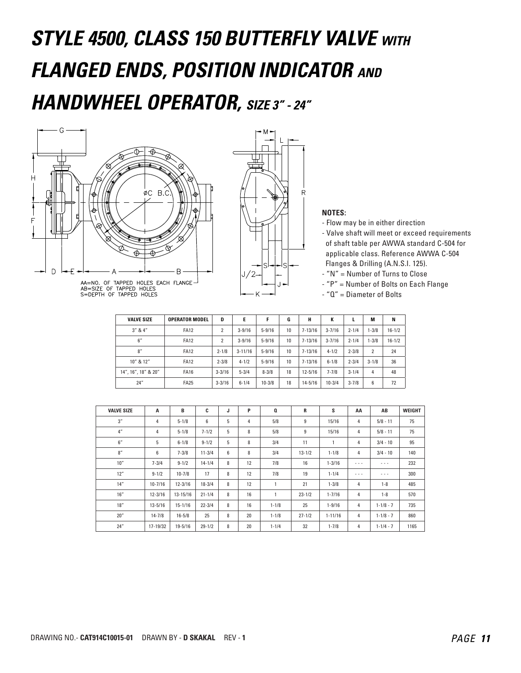# **STYLE 4500, CLASS 150 BUTTERFLY VALVE WITH FLANGED ENDS, POSITION INDICATOR AND HANDWHEEL OPERATOR, SIZE 3" - 24"**





AA=NO. OF TAPPED HOLES EACH FLANGE<br>AB=SIZE OF TAPPED HOLES<br>S=DEPTH OF TAPPED HOLES



- Flow may be in either direction

- Valve shaft will meet or exceed requirements of shaft table per AWWA standard C-504 for applicable class. Reference AWWA C-504 Flanges & Drilling (A.N.S.I. 125).

- "N" = Number of Turns to Close

- "P" = Number of Bolts on Each Flange

- "Q" = Diameter of Bolts

| <b>VALVE SIZE</b>   | <b>OPERATOR MODEL</b> | D              | Е           | F          | G  | н           | к          |           | М              | N          |
|---------------------|-----------------------|----------------|-------------|------------|----|-------------|------------|-----------|----------------|------------|
| $3''$ & $4''$       | <b>FA12</b>           | $\overline{2}$ | $3 - 9/16$  | $5 - 9/16$ | 10 | $7 - 13/16$ | $3 - 7/16$ | $2 - 1/4$ | $1 - 3/8$      | $16 - 1/2$ |
| 6''                 | <b>FA12</b>           | $\overline{2}$ | $3 - 9/16$  | $5 - 9/16$ | 10 | $7 - 13/16$ | $3 - 7/16$ | $2 - 1/4$ | $1 - 3/8$      | $16 - 1/2$ |
| 8''                 | <b>FA12</b>           | $2 - 1/8$      | $3 - 11/16$ | $5 - 9/16$ | 10 | $7 - 13/16$ | $4 - 1/2$  | $2 - 3/8$ | $\overline{2}$ | 24         |
| 10" & 12"           | <b>FA12</b>           | $2 - 3/8$      | $4 - 1/2$   | $5 - 9/16$ | 10 | $7 - 13/16$ | $6 - 1/8$  | $2 - 3/4$ | $3 - 1/8$      | 36         |
| 14", 16", 18" & 20" | <b>FA16</b>           | $3 - 3/16$     | $5 - 3/4$   | $8 - 3/8$  | 18 | $12 - 5/16$ | $7 - 7/8$  | $3 - 1/4$ | 4              | 48         |
| 24''                | <b>FA25</b>           | $3 - 3/16$     | $6 - 1/4$   | $10 - 3/8$ | 18 | $14 - 5/16$ | $10 - 3/4$ | $3 - 7/8$ | 6              | 72         |

| <b>VALVE SIZE</b> | A           | B            | C          | J | P  | $\mathbf{a}$ | R          | S           | AA                                                                                             | AB            | <b>WEIGHT</b> |
|-------------------|-------------|--------------|------------|---|----|--------------|------------|-------------|------------------------------------------------------------------------------------------------|---------------|---------------|
| 3''               | 4           | $5 - 1/8$    | 6          | 5 | 4  | 5/8          | 9          | 15/16       | $\overline{4}$                                                                                 | $5/8 - 11$    | 75            |
| 4"                | 4           | $5 - 1/8$    | $7 - 1/2$  | 5 | 8  | 5/8          | 9          | 15/16       | 4                                                                                              | $5/8 - 11$    | 75            |
| 6''               | 5           | $6 - 1/8$    | $9 - 1/2$  | 5 | 8  | 3/4          | 11         | 1           | 4                                                                                              | $3/4 - 10$    | 95            |
| 8''               | 6           | $7 - 3/8$    | $11 - 3/4$ | 6 | 8  | 3/4          | $13 - 1/2$ | $1 - 1/8$   | 4                                                                                              | $3/4 - 10$    | 140           |
| 10''              | $7 - 3/4$   | $9 - 1/2$    | $14 - 1/4$ | 8 | 12 | 7/8          | 16         | $1 - 3/16$  | $\frac{1}{2} \left( \frac{1}{2} \right) \left( \frac{1}{2} \right) \left( \frac{1}{2} \right)$ | $\cdots$      | 232           |
| 12"               | $9 - 1/2$   | $10 - 7/8$   | 17         | 8 | 12 | 7/8          | 19         | $1 - 1/4$   | $\frac{1}{2} \left( \frac{1}{2} \right) \left( \frac{1}{2} \right) \left( \frac{1}{2} \right)$ | $\cdots$      | 300           |
| 14''              | $10 - 7/16$ | $12 - 3/16$  | $18 - 3/4$ | 8 | 12 | $\mathbf{1}$ | 21         | $1 - 3/8$   | 4                                                                                              | $1 - 8$       | 485           |
| 16''              | $12 - 3/16$ | $13 - 15/16$ | $21 - 1/4$ | 8 | 16 | 1            | $23 - 1/2$ | $1 - 7/16$  | 4                                                                                              | $1 - 8$       | 570           |
| 18''              | $13 - 5/16$ | $15 - 1/16$  | $22 - 3/4$ | 8 | 16 | $1 - 1/8$    | 25         | $1 - 9/16$  | 4                                                                                              | $1 - 1/8 - 7$ | 735           |
| 20''              | $14 - 7/8$  | $16 - 5/8$   | 25         | 8 | 20 | $1 - 1/8$    | $27 - 1/2$ | $1 - 11/16$ | 4                                                                                              | $1 - 1/8 - 7$ | 860           |
| 24"               | 17-19/32    | $19 - 5/16$  | $29 - 1/2$ | 8 | 20 | $1 - 1/4$    | 32         | $1 - 7/8$   | 4                                                                                              | $1 - 1/4 - 7$ | 1165          |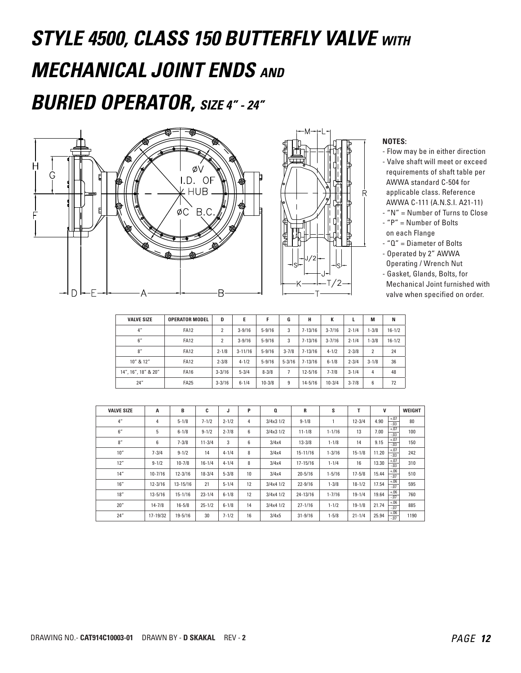# **STYLE 4500, CLASS 150 BUTTERFLY VALVE WITH MECHANICAL JOINT ENDS AND**

### **BURIED OPERATOR, SIZE 4" - 24"**





- Flow may be in either direction
- Valve shaft will meet or exceed requirements of shaft table per AWWA standard C-504 for applicable class. Reference
- AWWA C-111 (A.N.S.I. A21-11) - "N" = Number of Turns to Close
- "P" = Number of Bolts
- on each Flange
- "Q" = Diameter of Bolts
- Operated by 2" AWWA
- Operating / Wrench Nut
- Gasket, Glands, Bolts, for Mechanical Joint furnished with valve when specified on order.

| <b>VALVE SIZE</b>   | <b>OPERATOR MODEL</b> | D              | E           |            | G          | н           | К          |           | M              | N          |
|---------------------|-----------------------|----------------|-------------|------------|------------|-------------|------------|-----------|----------------|------------|
| 4 <sup>''</sup>     | <b>FA12</b>           | $\overline{2}$ | $3 - 9/16$  | $5 - 9/16$ | 3          | $7 - 13/16$ | $3 - 7/16$ | $2 - 1/4$ | $1 - 3/8$      | $16 - 1/2$ |
| 6''                 | <b>FA12</b>           | $\overline{2}$ | $3 - 9/16$  | $5 - 9/16$ | 3          | $7 - 13/16$ | $3 - 7/16$ | $2 - 1/4$ | $1 - 3/8$      | $16 - 1/2$ |
| 8''                 | <b>FA12</b>           | $2 - 1/8$      | $3 - 11/16$ | $5 - 9/16$ | $3 - 7/8$  | $7 - 13/16$ | $4 - 1/2$  | $2 - 3/8$ | $\overline{2}$ | 24         |
| 10" & 12"           | <b>FA12</b>           | $2 - 3/8$      | $4 - 1/2$   | $5 - 9/16$ | $5 - 3/16$ | $7 - 13/16$ | $6 - 1/8$  | $2 - 3/4$ | $3 - 1/8$      | 36         |
| 14", 16", 18" & 20" | <b>FA16</b>           | $3 - 3/16$     | $5 - 3/4$   | $8 - 3/8$  | 7          | $12 - 5/16$ | $7 - 7/8$  | $3 - 1/4$ | 4              | 48         |
| 24''                | <b>FA25</b>           | $3 - 3/16$     | $6 - 1/4$   | $10 - 3/8$ | 9          | $14 - 5/16$ | $10 - 3/4$ | $3 - 7/8$ | 6              | 72         |

| <b>VALVE SIZE</b> | A           | В            | C          | J         | P  | Q             | R            | S          | T          | V                          | WEIGHT |
|-------------------|-------------|--------------|------------|-----------|----|---------------|--------------|------------|------------|----------------------------|--------|
| 4"                | 4           | $5 - 1/8$    | $7 - 1/2$  | $2 - 1/2$ | 4  | $3/4x3$ $1/2$ | $9 - 1/8$    |            | $12 - 3/4$ | $+.07$<br>4.90<br>$-0.03$  | 80     |
| 6''               | 5           | $6 - 1/8$    | $9 - 1/2$  | $2 - 7/8$ | 6  | $3/4x3$ $1/2$ | $11 - 1/8$   | $1 - 1/16$ | 13         | $+.07$<br>7.00<br>$-.03$   | 100    |
| 8''               | 6           | $7 - 3/8$    | $11 - 3/4$ | 3         | 6  | 3/4x4         | $13 - 3/8$   | $1 - 1/8$  | 14         | $+.07$<br>9.15<br>$-0.03$  | 150    |
| 10''              | $7 - 3/4$   | $9 - 1/2$    | 14         | $4 - 1/4$ | 8  | 3/4x4         | 15-11/16     | $1 - 3/16$ | $15 - 1/8$ | $+.07$<br>11.20<br>$-0.03$ | 242    |
| 12"               | $9 - 1/2$   | $10 - 7/8$   | $16 - 1/4$ | $4 - 1/4$ | 8  | 3/4x4         | $17 - 15/16$ | $1 - 1/4$  | 16         | $+.07$<br>13.30<br>$-0.03$ | 310    |
| 14''              | $10 - 7/16$ | $12 - 3/16$  | $18 - 3/4$ | $5 - 3/8$ | 10 | 3/4x4         | $20 - 5/16$  | $1 - 5/16$ | $17 - 5/8$ | $+.06$<br>15.44<br>$-0.07$ | 510    |
| 16''              | $12 - 3/16$ | $13 - 15/16$ | 21         | $5 - 1/4$ | 12 | $3/4x4$ $1/2$ | $22 - 9/16$  | $1 - 3/8$  | $18 - 1/2$ | $+.06$<br>-.07<br>17.54    | 595    |
| 18"               | $13 - 5/16$ | $15 - 1/16$  | $23 - 1/4$ | $6 - 1/8$ | 12 | $3/4x4$ $1/2$ | 24-13/16     | $1 - 7/16$ | $19 - 1/4$ | $+.06$<br>19.64<br>$-07$   | 760    |
| 20''              | $14 - 7/8$  | $16 - 5/8$   | $25 - 1/2$ | $6 - 1/8$ | 14 | $3/4x4$ $1/2$ | $27 - 1/16$  | $1 - 1/2$  | $19 - 1/8$ | $+.06$<br>21.74<br>$-07$   | 885    |
| 24''              | 17-19/32    | $19 - 5/16$  | 30         | $7 - 1/2$ | 16 | 3/4x5         | $31 - 9/16$  | $1 - 5/8$  | $21 - 1/4$ | $+.06$<br>25.94<br>$-0.07$ | 1190   |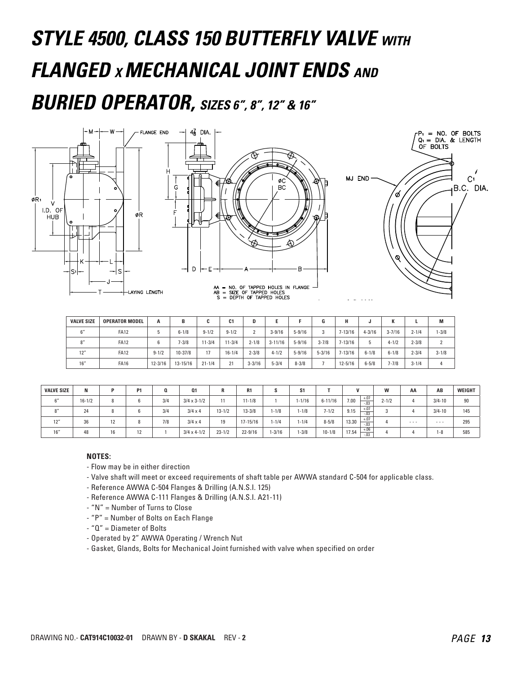# **STYLE 4500, CLASS 150 BUTTERFLY VALVE WITH FLANGED X MECHANICAL JOINT ENDS AND BURIED OPERATOR, SIZES 6", 8", 12" & 16"**



| <b>VALVE SIZE</b> | <b>OPERATOR MODEL</b> | A           | В            | c          | C <sub>1</sub> | D            |             |            | G          | н           | u          |            |           | M         |
|-------------------|-----------------------|-------------|--------------|------------|----------------|--------------|-------------|------------|------------|-------------|------------|------------|-----------|-----------|
|                   | <b>FA12</b>           | b           | $6 - 1/8$    | $9 - 1/2$  | $9 - 1/2$      | <sup>o</sup> | $3 - 9/16$  | $5 - 9/16$ | 3          | $7 - 13/16$ | $4 - 3/16$ | $3 - 7/16$ | $2 - 1/4$ | $-3/8$    |
|                   | <b>FA12</b>           |             | $7 - 3/8$    | $11 - 3/4$ | $11 - 3/4$     | $2 - 1/8$    | $3 - 11/16$ | $5 - 9/16$ | $3 - 7/8$  | $7 - 13/16$ | b          | $4 - 1/2$  | $2 - 3/8$ |           |
| 12"               | <b>FA12</b>           | $9 - 1/2$   | $10 - 37/8$  | 17         | $16 - 1/4$     | $2 - 3/8$    | $4 - 1/2$   | $5 - 9/16$ | $5 - 3/16$ | $7 - 13/16$ | $6 - 1/8$  | $6 - 1/8$  | $2 - 3/4$ | $3 - 1/8$ |
| 16''              | <b>FA16</b>           | $12 - 3/16$ | $13 - 15/16$ | $21 - 1/4$ | 21             | $3 - 3/16$   | $5 - 3/4$   | $8 - 3/8$  |            | $12 - 5/16$ | $6 - 5/8$  | $7 - 7/8$  | $3 - 1/4$ | 4         |

| <b>VALVE SIZE</b> | N          |    | P <sub>1</sub> | Q   | <b>Q1</b>            | R          | R1          | G         | S1        |             |                           | W         | AA       | AB         | WEIGHT |
|-------------------|------------|----|----------------|-----|----------------------|------------|-------------|-----------|-----------|-------------|---------------------------|-----------|----------|------------|--------|
| 6''               | $16 - 1/2$ | 8  | 6              | 3/4 | $3/4 \times 3 - 1/2$ | 11         | $11 - 1/8$  |           | $-1/16$   | $6 - 11/16$ | $+.07$<br>7.00<br>$-0.03$ | $2 - 1/2$ |          | $3/4 - 10$ | 90     |
| 8''               | 24         | 8  | 6              | 3/4 | $3/4 \times 4$       | $13 - 1/2$ | $13 - 3/8$  | 1-1/8     | $1 - 1/8$ | $7 - 1/2$   | $+.07$<br>9.15<br>$-0.03$ |           |          | $3/4 - 10$ | 145    |
| 12'               | 36         | 12 | 8              | 7/8 | $3/4 \times 4$       | 19         | 17-15/16    | $1 - 1/4$ | $1 - 1/4$ | $8 - 5/8$   | $+.07$<br>13.30<br>$-.03$ |           | $\cdots$ | $\cdots$   | 295    |
| 16''              | 48         | 16 | 12             |     | $3/4 \times 4 - 1/2$ | $23 - 1/2$ | $22 - 9/16$ | $-3/16$   | $1 - 3/8$ | $10 - 1/8$  | $+.06$<br>17.54<br>$-.03$ |           |          | $-8$       | 585    |

- Flow may be in either direction
- Valve shaft will meet or exceed requirements of shaft table per AWWA standard C-504 for applicable class.
- Reference AWWA C-504 Flanges & Drilling (A.N.S.I. 125)
- Reference AWWA C-111 Flanges & Drilling (A.N.S.I. A21-11)
- "N" = Number of Turns to Close
- "P" = Number of Bolts on Each Flange
- "Q" = Diameter of Bolts
- Operated by 2" AWWA Operating / Wrench Nut
- Gasket, Glands, Bolts for Mechanical Joint furnished with valve when specified on order